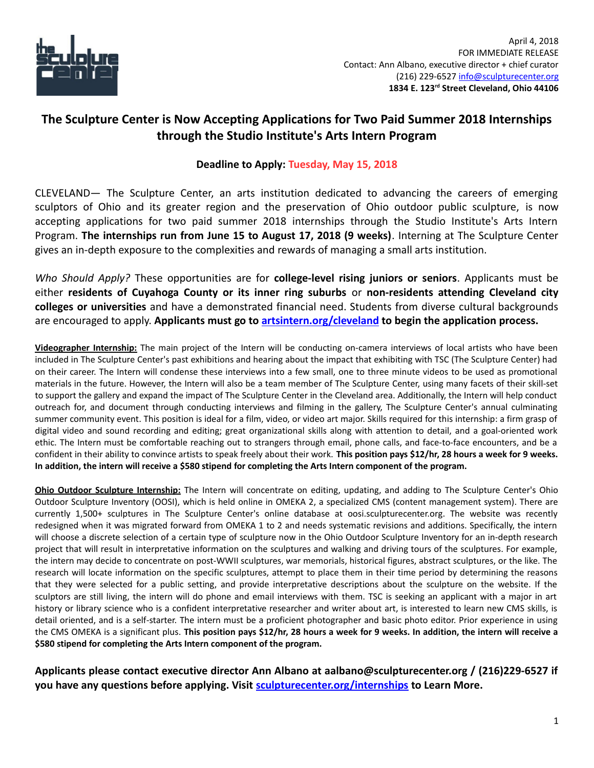

## **The Sculpture Center is Now Accepting Applications for Two Paid Summer 2018 Internships through the Studio Institute's Arts Intern Program**

## **Deadline to Apply: Tuesday, May 15, 2018**

CLEVELAND— The Sculpture Center, an arts institution dedicated to advancing the careers of emerging sculptors of Ohio and its greater region and the preservation of Ohio outdoor public sculpture, is now accepting applications for two paid summer 2018 internships through the Studio Institute's Arts Intern Program. **The internships run from June 15 to August 17, 2018 (9 weeks)**. Interning at The Sculpture Center gives an in-depth exposure to the complexities and rewards of managing a small arts institution.

*Who Should Apply?* These opportunities are for **college-level rising juniors or seniors**. Applicants must be either **residents of Cuyahoga County or its inner ring suburbs** or **non-residents attending Cleveland city colleges or universities** and have a demonstrated financial need. Students from diverse cultural backgrounds are encouraged to apply. **Applicants must go to [artsintern.org/cleveland](https://www.artsintern.org/cleveland/) to begin the application process.**

**Videographer Internship:** The main project of the Intern will be conducting on-camera interviews of local artists who have been included in The Sculpture Center's past exhibitions and hearing about the impact that exhibiting with TSC (The Sculpture Center) had on their career. The Intern will condense these interviews into a few small, one to three minute videos to be used as promotional materials in the future. However, the Intern will also be a team member of The Sculpture Center, using many facets of their skill-set to support the gallery and expand the impact of The Sculpture Center in the Cleveland area. Additionally, the Intern will help conduct outreach for, and document through conducting interviews and filming in the gallery, The Sculpture Center's annual culminating summer community event. This position is ideal for a film, video, or video art major. Skills required for this internship: a firm grasp of digital video and sound recording and editing; great organizational skills along with attention to detail, and a goal-oriented work ethic. The Intern must be comfortable reaching out to strangers through email, phone calls, and face-to-face encounters, and be a confident in their ability to convince artists to speak freely about their work. **This position pays \$12/hr, 28 hours a week for 9 weeks. In addition, the intern will receive a \$580 stipend for completing the Arts Intern component of the program.** 

**Ohio Outdoor Sculpture Internship:** The Intern will concentrate on editing, updating, and adding to The Sculpture Center's Ohio Outdoor Sculpture Inventory (OOSI), which is held online in OMEKA 2, a specialized CMS (content management system). There are currently 1,500+ sculptures in The Sculpture Center's online database at oosi.sculpturecenter.org. The website was recently redesigned when it was migrated forward from OMEKA 1 to 2 and needs systematic revisions and additions. Specifically, the intern will choose a discrete selection of a certain type of sculpture now in the Ohio Outdoor Sculpture Inventory for an in-depth research project that will result in interpretative information on the sculptures and walking and driving tours of the sculptures. For example, the intern may decide to concentrate on post-WWII sculptures, war memorials, historical figures, abstract sculptures, or the like. The research will locate information on the specific sculptures, attempt to place them in their time period by determining the reasons that they were selected for a public setting, and provide interpretative descriptions about the sculpture on the website. If the sculptors are still living, the intern will do phone and email interviews with them. TSC is seeking an applicant with a major in art history or library science who is a confident interpretative researcher and writer about art, is interested to learn new CMS skills, is detail oriented, and is a self-starter. The intern must be a proficient photographer and basic photo editor. Prior experience in using the CMS OMEKA is a significant plus. **This position pays \$12/hr, 28 hours a week for 9 weeks. In addition, the intern will receive a \$580 stipend for completing the Arts Intern component of the program.**

**Applicants please contact executive director Ann Albano at aalbano@sculpturecenter.org / (216)229-6527 if you have any questions before applying. Visit [sculpturecenter.org/internships](http://sculpturecenter.org/internships/) to Learn More.**